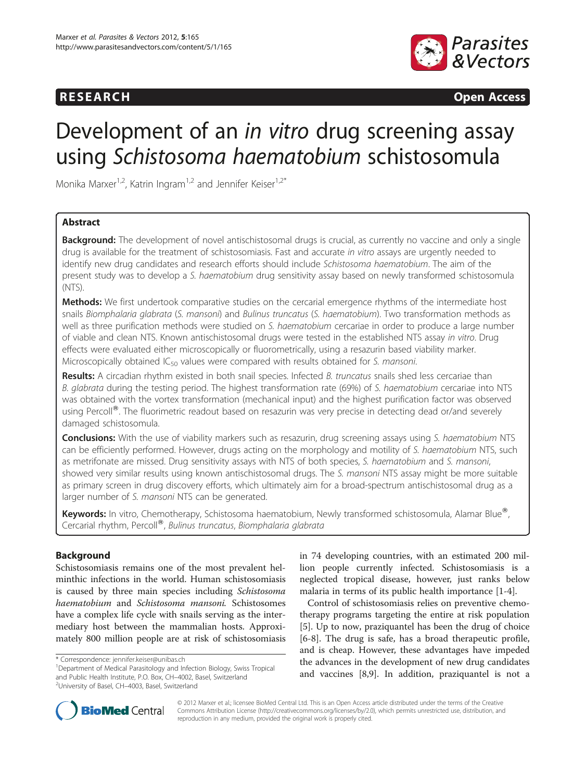# **RESEARCH RESEARCH CONSUMING ACCESS**



# Development of an in vitro drug screening assay using Schistosoma haematobium schistosomula

Monika Marxer<sup>1,2</sup>, Katrin Ingram<sup>1,2</sup> and Jennifer Keiser<sup>1,2\*</sup>

# Abstract

**Background:** The development of novel antischistosomal drugs is crucial, as currently no vaccine and only a single drug is available for the treatment of schistosomiasis. Fast and accurate in vitro assays are urgently needed to identify new drug candidates and research efforts should include Schistosoma haematobium. The aim of the present study was to develop a S. haematobium drug sensitivity assay based on newly transformed schistosomula (NTS).

Methods: We first undertook comparative studies on the cercarial emergence rhythms of the intermediate host snails Biomphalaria glabrata (S. mansoni) and Bulinus truncatus (S. haematobium). Two transformation methods as well as three purification methods were studied on S. haematobium cercariae in order to produce a large number of viable and clean NTS. Known antischistosomal drugs were tested in the established NTS assay in vitro. Drug effects were evaluated either microscopically or fluorometrically, using a resazurin based viability marker. Microscopically obtained  $IC_{50}$  values were compared with results obtained for S. mansoni.

Results: A circadian rhythm existed in both snail species. Infected B. truncatus snails shed less cercariae than B. glabrata during the testing period. The highest transformation rate (69%) of S. haematobium cercariae into NTS was obtained with the vortex transformation (mechanical input) and the highest purification factor was observed using Percoll<sup>®</sup>. The fluorimetric readout based on resazurin was very precise in detecting dead or/and severely damaged schistosomula.

Conclusions: With the use of viability markers such as resazurin, drug screening assays using S. haematobium NTS can be efficiently performed. However, drugs acting on the morphology and motility of S. haematobium NTS, such as metrifonate are missed. Drug sensitivity assays with NTS of both species, S. haematobium and S. mansoni, showed very similar results using known antischistosomal drugs. The S. mansoni NTS assay might be more suitable as primary screen in drug discovery efforts, which ultimately aim for a broad-spectrum antischistosomal drug as a larger number of S. mansoni NTS can be generated.

Keywords: In vitro, Chemotherapy, Schistosoma haematobium, Newly transformed schistosomula, Alamar Blue®, Cercarial rhythm, Percoll®, Bulinus truncatus, Biomphalaria glabrata

# Background

Schistosomiasis remains one of the most prevalent helminthic infections in the world. Human schistosomiasis is caused by three main species including Schistosoma haematobium and Schistosoma mansoni. Schistosomes have a complex life cycle with snails serving as the intermediary host between the mammalian hosts. Approximately 800 million people are at risk of schistosomiasis in 74 developing countries, with an estimated 200 million people currently infected. Schistosomiasis is a neglected tropical disease, however, just ranks below malaria in terms of its public health importance [\[1](#page-7-0)-[4\]](#page-7-0).

Control of schistosomiasis relies on preventive chemotherapy programs targeting the entire at risk population [[5\]](#page-7-0). Up to now, praziquantel has been the drug of choice [[6-8](#page-7-0)]. The drug is safe, has a broad therapeutic profile, and is cheap. However, these advantages have impeded the advances in the development of new drug candidates and vaccines [\[8,9](#page-7-0)]. In addition, praziquantel is not a



© 2012 Marxer et al.; licensee BioMed Central Ltd. This is an Open Access article distributed under the terms of the Creative Commons Attribution License [\(http://creativecommons.org/licenses/by/2.0\)](http://creativecommons.org/licenses/by/2.0), which permits unrestricted use, distribution, and reproduction in any medium, provided the original work is properly cited.

<sup>\*</sup> Correspondence: [jennifer.keiser@unibas.ch](mailto:jennifer.keiser@unibas.ch) <sup>1</sup>

<sup>&</sup>lt;sup>1</sup>Department of Medical Parasitology and Infection Biology, Swiss Tropical and Public Health Institute, P.O. Box, CH–4002, Basel, Switzerland <sup>2</sup> University of Basel, CH–4003, Basel, Switzerland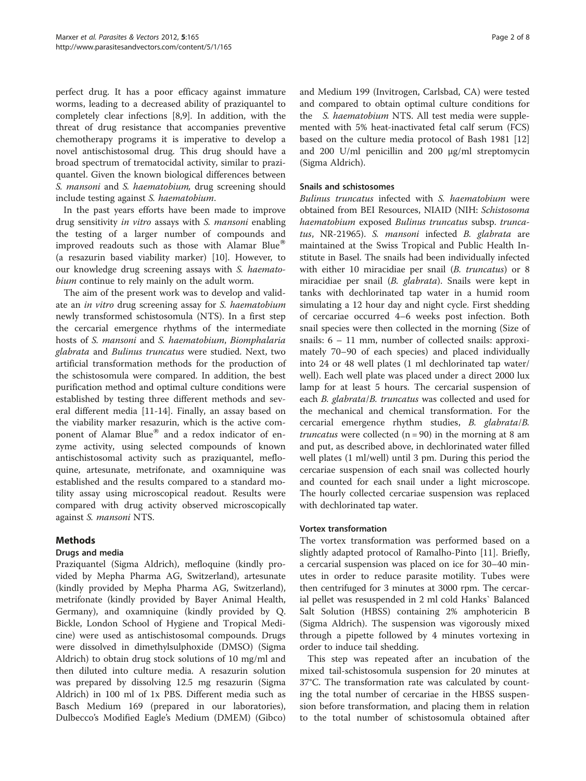perfect drug. It has a poor efficacy against immature worms, leading to a decreased ability of praziquantel to completely clear infections [\[8,9](#page-7-0)]. In addition, with the threat of drug resistance that accompanies preventive chemotherapy programs it is imperative to develop a novel antischistosomal drug. This drug should have a broad spectrum of trematocidal activity, similar to praziquantel. Given the known biological differences between S. mansoni and S. haematobium, drug screening should include testing against S. haematobium.

In the past years efforts have been made to improve drug sensitivity in vitro assays with S. mansoni enabling the testing of a larger number of compounds and improved readouts such as those with Alamar Blue® (a resazurin based viability marker) [[10](#page-7-0)]. However, to our knowledge drug screening assays with S. haematobium continue to rely mainly on the adult worm.

The aim of the present work was to develop and validate an in vitro drug screening assay for S. haematobium newly transformed schistosomula (NTS). In a first step the cercarial emergence rhythms of the intermediate hosts of S. mansoni and S. haematobium, Biomphalaria glabrata and Bulinus truncatus were studied. Next, two artificial transformation methods for the production of the schistosomula were compared. In addition, the best purification method and optimal culture conditions were established by testing three different methods and several different media [\[11-14](#page-7-0)]. Finally, an assay based on the viability marker resazurin, which is the active component of Alamar Blue $^{\circledR}$  and a redox indicator of enzyme activity, using selected compounds of known antischistosomal activity such as praziquantel, mefloquine, artesunate, metrifonate, and oxamniquine was established and the results compared to a standard motility assay using microscopical readout. Results were compared with drug activity observed microscopically against S. mansoni NTS.

# Methods

### Drugs and media

Praziquantel (Sigma Aldrich), mefloquine (kindly provided by Mepha Pharma AG, Switzerland), artesunate (kindly provided by Mepha Pharma AG, Switzerland), metrifonate (kindly provided by Bayer Animal Health, Germany), and oxamniquine (kindly provided by Q. Bickle, London School of Hygiene and Tropical Medicine) were used as antischistosomal compounds. Drugs were dissolved in dimethylsulphoxide (DMSO) (Sigma Aldrich) to obtain drug stock solutions of 10 mg/ml and then diluted into culture media. A resazurin solution was prepared by dissolving 12.5 mg resazurin (Sigma Aldrich) in 100 ml of 1x PBS. Different media such as Basch Medium 169 (prepared in our laboratories), Dulbecco's Modified Eagle's Medium (DMEM) (Gibco)

and Medium 199 (Invitrogen, Carlsbad, CA) were tested and compared to obtain optimal culture conditions for the S. haematobium NTS. All test media were supplemented with 5% heat-inactivated fetal calf serum (FCS) based on the culture media protocol of Bash 1981 [[12](#page-7-0)] and 200 U/ml penicillin and 200 μg/ml streptomycin (Sigma Aldrich).

#### Snails and schistosomes

Bulinus truncatus infected with S. haematobium were obtained from BEI Resources, NIAID (NIH: Schistosoma haematobium exposed Bulinus truncatus subsp. truncatus, NR-21965). S. mansoni infected B. glabrata are maintained at the Swiss Tropical and Public Health Institute in Basel. The snails had been individually infected with either 10 miracidiae per snail (*B. truncatus*) or 8 miracidiae per snail (B. glabrata). Snails were kept in tanks with dechlorinated tap water in a humid room simulating a 12 hour day and night cycle. First shedding of cercariae occurred 4–6 weeks post infection. Both snail species were then collected in the morning (Size of snails: 6 – 11 mm, number of collected snails: approximately 70–90 of each species) and placed individually into 24 or 48 well plates (1 ml dechlorinated tap water/ well). Each well plate was placed under a direct 2000 lux lamp for at least 5 hours. The cercarial suspension of each B. glabrata/B. truncatus was collected and used for the mechanical and chemical transformation. For the cercarial emergence rhythm studies, B. glabrata/B. *truncatus* were collected  $(n = 90)$  in the morning at 8 am and put, as described above, in dechlorinated water filled well plates (1 ml/well) until 3 pm. During this period the cercariae suspension of each snail was collected hourly and counted for each snail under a light microscope. The hourly collected cercariae suspension was replaced with dechlorinated tap water.

### Vortex transformation

The vortex transformation was performed based on a slightly adapted protocol of Ramalho-Pinto [\[11](#page-7-0)]. Briefly, a cercarial suspension was placed on ice for 30–40 minutes in order to reduce parasite motility. Tubes were then centrifuged for 3 minutes at 3000 rpm. The cercarial pellet was resuspended in 2 ml cold Hanks` Balanced Salt Solution (HBSS) containing 2% amphotericin B (Sigma Aldrich). The suspension was vigorously mixed through a pipette followed by 4 minutes vortexing in order to induce tail shedding.

This step was repeated after an incubation of the mixed tail-schistosomula suspension for 20 minutes at 37°C. The transformation rate was calculated by counting the total number of cercariae in the HBSS suspension before transformation, and placing them in relation to the total number of schistosomula obtained after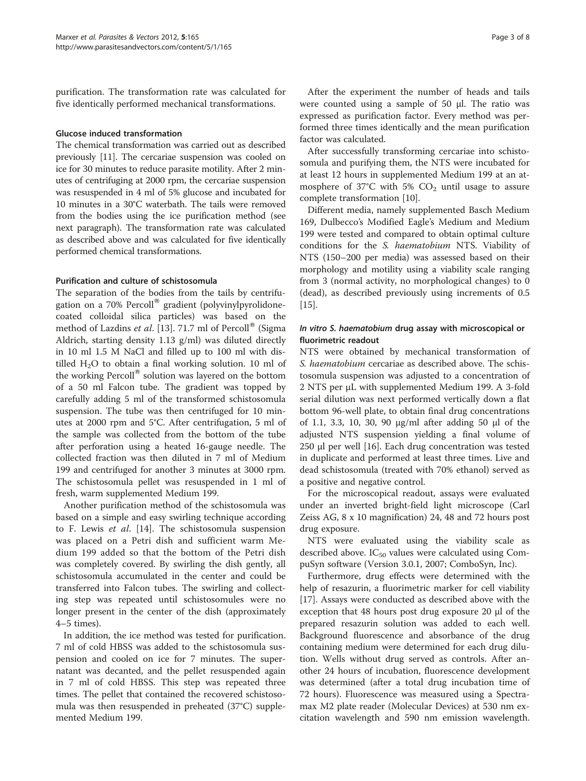purification. The transformation rate was calculated for five identically performed mechanical transformations.

#### Glucose induced transformation

The chemical transformation was carried out as described previously [[11](#page-7-0)]. The cercariae suspension was cooled on ice for 30 minutes to reduce parasite motility. After 2 minutes of centrifuging at 2000 rpm, the cercariae suspension was resuspended in 4 ml of 5% glucose and incubated for 10 minutes in a 30°C waterbath. The tails were removed from the bodies using the ice purification method (see next paragraph). The transformation rate was calculated as described above and was calculated for five identically performed chemical transformations.

#### Purification and culture of schistosomula

The separation of the bodies from the tails by centrifugation on a 70% Percoll<sup>®</sup> gradient (polyvinylpyrolidonecoated colloidal silica particles) was based on the method of Lazdins et al. [[13\]](#page-7-0). 71.7 ml of Percoll<sup>®</sup> (Sigma Aldrich, starting density 1.13 g/ml) was diluted directly in 10 ml 1.5 M NaCl and filled up to 100 ml with distilled  $H_2O$  to obtain a final working solution. 10 ml of the working Percoll® solution was layered on the bottom of a 50 ml Falcon tube. The gradient was topped by carefully adding 5 ml of the transformed schistosomula suspension. The tube was then centrifuged for 10 minutes at 2000 rpm and 5°C. After centrifugation, 5 ml of the sample was collected from the bottom of the tube after perforation using a heated 16-gauge needle. The collected fraction was then diluted in 7 ml of Medium 199 and centrifuged for another 3 minutes at 3000 rpm. The schistosomula pellet was resuspended in 1 ml of fresh, warm supplemented Medium 199.

Another purification method of the schistosomula was based on a simple and easy swirling technique according to F. Lewis et al. [[14](#page-7-0)]. The schistosomula suspension was placed on a Petri dish and sufficient warm Medium 199 added so that the bottom of the Petri dish was completely covered. By swirling the dish gently, all schistosomula accumulated in the center and could be transferred into Falcon tubes. The swirling and collecting step was repeated until schistosomules were no longer present in the center of the dish (approximately 4–5 times).

In addition, the ice method was tested for purification. 7 ml of cold HBSS was added to the schistosomula suspension and cooled on ice for 7 minutes. The supernatant was decanted, and the pellet resuspended again in 7 ml of cold HBSS. This step was repeated three times. The pellet that contained the recovered schistosomula was then resuspended in preheated (37°C) supplemented Medium 199.

After the experiment the number of heads and tails were counted using a sample of 50 μl. The ratio was expressed as purification factor. Every method was performed three times identically and the mean purification factor was calculated.

After successfully transforming cercariae into schistosomula and purifying them, the NTS were incubated for at least 12 hours in supplemented Medium 199 at an atmosphere of 37 $\degree$ C with 5% CO<sub>2</sub> until usage to assure complete transformation [\[10\]](#page-7-0).

Different media, namely supplemented Basch Medium 169, Dulbecco's Modified Eagle's Medium and Medium 199 were tested and compared to obtain optimal culture conditions for the S. haematobium NTS. Viability of NTS (150–200 per media) was assessed based on their morphology and motility using a viability scale ranging from 3 (normal activity, no morphological changes) to 0 (dead), as described previously using increments of 0.5 [[15\]](#page-7-0).

## In vitro S. haematobium drug assay with microscopical or fluorimetric readout

NTS were obtained by mechanical transformation of S. haematobium cercariae as described above. The schistosomula suspension was adjusted to a concentration of 2 NTS per μL with supplemented Medium 199. A 3-fold serial dilution was next performed vertically down a flat bottom 96-well plate, to obtain final drug concentrations of 1.1, 3.3, 10, 30, 90 μg/ml after adding 50 μl of the adjusted NTS suspension yielding a final volume of 250 μl per well [[16\]](#page-7-0). Each drug concentration was tested in duplicate and performed at least three times. Live and dead schistosomula (treated with 70% ethanol) served as a positive and negative control.

For the microscopical readout, assays were evaluated under an inverted bright-field light microscope (Carl Zeiss AG, 8 x 10 magnification) 24, 48 and 72 hours post drug exposure.

NTS were evaluated using the viability scale as described above.  $IC_{50}$  values were calculated using CompuSyn software (Version 3.0.1, 2007; ComboSyn, Inc).

Furthermore, drug effects were determined with the help of resazurin, a fluorimetric marker for cell viability [[17\]](#page-7-0). Assays were conducted as described above with the exception that 48 hours post drug exposure 20 μl of the prepared resazurin solution was added to each well. Background fluorescence and absorbance of the drug containing medium were determined for each drug dilution. Wells without drug served as controls. After another 24 hours of incubation, fluorescence development was determined (after a total drug incubation time of 72 hours). Fluorescence was measured using a Spectramax M2 plate reader (Molecular Devices) at 530 nm excitation wavelength and 590 nm emission wavelength.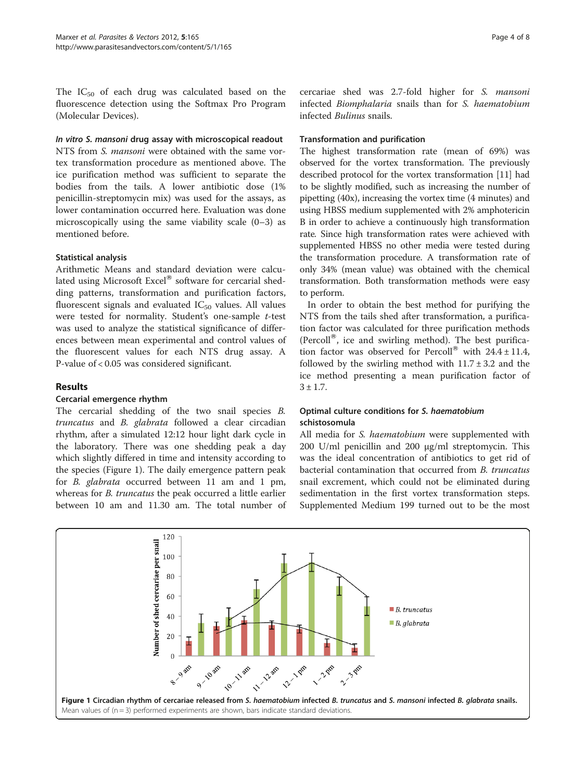The  $IC_{50}$  of each drug was calculated based on the fluorescence detection using the Softmax Pro Program (Molecular Devices).

#### In vitro S. mansoni drug assay with microscopical readout

NTS from S. mansoni were obtained with the same vortex transformation procedure as mentioned above. The ice purification method was sufficient to separate the bodies from the tails. A lower antibiotic dose (1% penicillin-streptomycin mix) was used for the assays, as lower contamination occurred here. Evaluation was done microscopically using the same viability scale (0–3) as mentioned before.

### Statistical analysis

Arithmetic Means and standard deviation were calculated using Microsoft Excel® software for cercarial shedding patterns, transformation and purification factors, fluorescent signals and evaluated  $IC_{50}$  values. All values were tested for normality. Student's one-sample t-test was used to analyze the statistical significance of differences between mean experimental and control values of the fluorescent values for each NTS drug assay. A P-value of < 0.05 was considered significant.

### Results

### Cercarial emergence rhythm

The cercarial shedding of the two snail species B. truncatus and B. glabrata followed a clear circadian rhythm, after a simulated 12:12 hour light dark cycle in the laboratory. There was one shedding peak a day which slightly differed in time and intensity according to the species (Figure 1). The daily emergence pattern peak for B. glabrata occurred between 11 am and 1 pm, whereas for *B. truncatus* the peak occurred a little earlier between 10 am and 11.30 am. The total number of

cercariae shed was 2.7-fold higher for S. mansoni infected Biomphalaria snails than for S. haematobium infected Bulinus snails.

#### Transformation and purification

The highest transformation rate (mean of 69%) was observed for the vortex transformation. The previously described protocol for the vortex transformation [[11](#page-7-0)] had to be slightly modified, such as increasing the number of pipetting (40x), increasing the vortex time (4 minutes) and using HBSS medium supplemented with 2% amphotericin B in order to achieve a continuously high transformation rate. Since high transformation rates were achieved with supplemented HBSS no other media were tested during the transformation procedure. A transformation rate of only 34% (mean value) was obtained with the chemical transformation. Both transformation methods were easy to perform.

In order to obtain the best method for purifying the NTS from the tails shed after transformation, a purification factor was calculated for three purification methods (Percoll $^{\circ}$ ), ice and swirling method). The best purification factor was observed for Percoll<sup>®</sup> with  $24.4 \pm 11.4$ , followed by the swirling method with  $11.7 \pm 3.2$  and the ice method presenting a mean purification factor of  $3 \pm 1.7$ .

### Optimal culture conditions for S. haematobium schistosomula

All media for S. haematobium were supplemented with 200 U/ml penicillin and 200 μg/ml streptomycin. This was the ideal concentration of antibiotics to get rid of bacterial contamination that occurred from B. truncatus snail excrement, which could not be eliminated during sedimentation in the first vortex transformation steps. Supplemented Medium 199 turned out to be the most

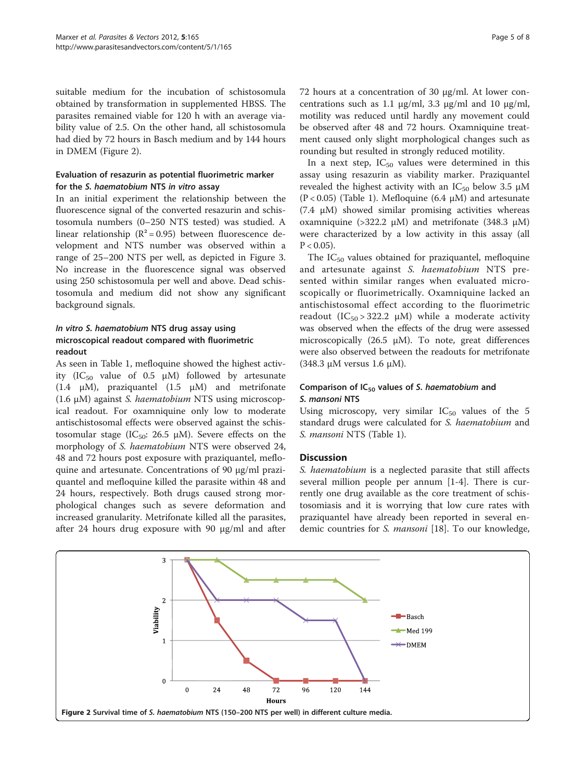suitable medium for the incubation of schistosomula obtained by transformation in supplemented HBSS. The parasites remained viable for 120 h with an average viability value of 2.5. On the other hand, all schistosomula had died by 72 hours in Basch medium and by 144 hours in DMEM (Figure 2).

#### Evaluation of resazurin as potential fluorimetric marker for the S. haematobium NTS in vitro assay

In an initial experiment the relationship between the fluorescence signal of the converted resazurin and schistosomula numbers (0–250 NTS tested) was studied. A linear relationship ( $R^2 = 0.95$ ) between fluorescence development and NTS number was observed within a range of 25–200 NTS per well, as depicted in Figure [3](#page-5-0). No increase in the fluorescence signal was observed using 250 schistosomula per well and above. Dead schistosomula and medium did not show any significant background signals.

# In vitro S. haematobium NTS drug assay using microscopical readout compared with fluorimetric readout

As seen in Table [1](#page-5-0), mefloquine showed the highest activity (IC<sub>50</sub> value of 0.5  $\mu$ M) followed by artesunate (1.4 μM), praziquantel (1.5 μM) and metrifonate (1.6 <sup>μ</sup>M) against S. haematobium NTS using microscopical readout. For oxamniquine only low to moderate antischistosomal effects were observed against the schistosomular stage ( $IC_{50}$ : 26.5  $\mu$ M). Severe effects on the morphology of S. haematobium NTS were observed 24, 48 and 72 hours post exposure with praziquantel, mefloquine and artesunate. Concentrations of 90 μg/ml praziquantel and mefloquine killed the parasite within 48 and 24 hours, respectively. Both drugs caused strong morphological changes such as severe deformation and increased granularity. Metrifonate killed all the parasites, after 24 hours drug exposure with 90 μg/ml and after

72 hours at a concentration of 30 μg/ml. At lower concentrations such as 1.1 μg/ml, 3.3 μg/ml and 10 μg/ml, motility was reduced until hardly any movement could be observed after 48 and 72 hours. Oxamniquine treatment caused only slight morphological changes such as rounding but resulted in strongly reduced motility.

In a next step,  $IC_{50}$  values were determined in this assay using resazurin as viability marker. Praziquantel revealed the highest activity with an  $IC_{50}$  below 3.5  $\mu$ M (P < 0.05) (Table [1](#page-5-0)). Mefloquine (6.4 μM) and artesunate (7.4 μM) showed similar promising activities whereas oxamniquine (>322.2 μM) and metrifonate (348.3 μM) were characterized by a low activity in this assay (all  $P < 0.05$ ).

The  $IC_{50}$  values obtained for praziquantel, mefloquine and artesunate against S. haematobium NTS presented within similar ranges when evaluated microscopically or fluorimetrically. Oxamniquine lacked an antischistosomal effect according to the fluorimetric readout  $(IC_{50} > 322.2 \mu M)$  while a moderate activity was observed when the effects of the drug were assessed microscopically (26.5  $\mu$ M). To note, great differences were also observed between the readouts for metrifonate (348.3 μM versus 1.6 μM).

### Comparison of  $IC_{50}$  values of S. haematobium and S. mansoni NTS

Using microscopy, very similar  $IC_{50}$  values of the 5 standard drugs were calculated for S. haematobium and S. mansoni NTS (Table [1\)](#page-5-0).

### **Discussion**

S. haematobium is a neglected parasite that still affects several million people per annum [[1-4](#page-7-0)]. There is currently one drug available as the core treatment of schistosomiasis and it is worrying that low cure rates with praziquantel have already been reported in several en-demic countries for S. mansoni [\[18](#page-7-0)]. To our knowledge,

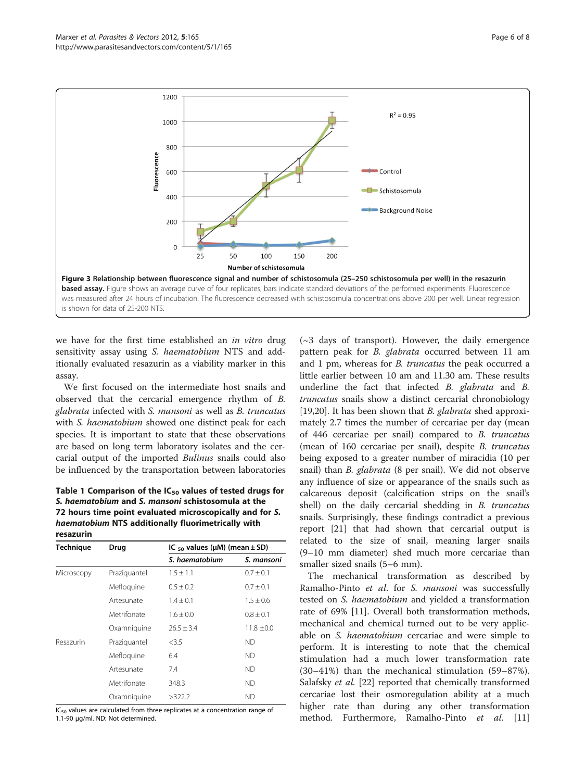<span id="page-5-0"></span>

we have for the first time established an in vitro drug sensitivity assay using S. haematobium NTS and additionally evaluated resazurin as a viability marker in this assay.

We first focused on the intermediate host snails and observed that the cercarial emergence rhythm of B. glabrata infected with S. mansoni as well as B. truncatus with S. haematobium showed one distinct peak for each species. It is important to state that these observations are based on long term laboratory isolates and the cercarial output of the imported Bulinus snails could also be influenced by the transportation between laboratories

Table 1 Comparison of the  $IC_{50}$  values of tested drugs for S. haematobium and S. mansoni schistosomula at the 72 hours time point evaluated microscopically and for S. haematobium NTS additionally fluorimetrically with resazurin

| <b>Technique</b> | Drug         | IC $_{50}$ values ( $\mu$ M) (mean $\pm$ SD) |               |
|------------------|--------------|----------------------------------------------|---------------|
|                  |              | S. haematobium                               | S. mansoni    |
| Microscopy       | Praziguantel | $1.5 \pm 1.1$                                | $0.7 \pm 0.1$ |
|                  | Mefloquine   | $0.5 \pm 0.2$                                | $0.7 \pm 0.1$ |
|                  | Artesunate   | $1.4 + 0.1$                                  | $1.5 \pm 0.6$ |
|                  | Metrifonate  | $1.6 + 0.0$                                  | $0.8 \pm 0.1$ |
|                  | Oxamniquine  | $76.5 + 3.4$                                 | $11.8 + 0.0$  |
| Resazurin        | Praziguantel | <3.5                                         | ND.           |
|                  | Mefloquine   | 6.4                                          | ND.           |
|                  | Artesunate   | 7.4                                          | ND.           |
|                  | Metrifonate  | 348.3                                        | ND.           |
|                  | Oxamniquine  | >322.2                                       | ΝD            |

 $IC_{50}$  values are calculated from three replicates at a concentration range of 1.1-90 μg/ml. ND: Not determined.

 $(\sim 3$  days of transport). However, the daily emergence pattern peak for *B. glabrata* occurred between 11 am and 1 pm, whereas for B. truncatus the peak occurred a little earlier between 10 am and 11.30 am. These results underline the fact that infected B. glabrata and B. truncatus snails show a distinct cercarial chronobiology [[19,20\]](#page-7-0). It has been shown that *B. glabrata* shed approximately 2.7 times the number of cercariae per day (mean of 446 cercariae per snail) compared to B. truncatus (mean of 160 cercariae per snail), despite B. truncatus being exposed to a greater number of miracidia (10 per snail) than B. glabrata (8 per snail). We did not observe any influence of size or appearance of the snails such as calcareous deposit (calcification strips on the snail's shell) on the daily cercarial shedding in B. truncatus snails. Surprisingly, these findings contradict a previous report [\[21](#page-7-0)] that had shown that cercarial output is related to the size of snail, meaning larger snails (9–10 mm diameter) shed much more cercariae than smaller sized snails (5–6 mm).

The mechanical transformation as described by Ramalho-Pinto et al. for S. mansoni was successfully tested on S. haematobium and yielded a transformation rate of 69% [\[11](#page-7-0)]. Overall both transformation methods, mechanical and chemical turned out to be very applicable on S. haematobium cercariae and were simple to perform. It is interesting to note that the chemical stimulation had a much lower transformation rate (30–41%) than the mechanical stimulation (59–87%). Salafsky et al. [[22\]](#page-7-0) reported that chemically transformed cercariae lost their osmoregulation ability at a much higher rate than during any other transformation method. Furthermore, Ramalho-Pinto et al. [[11](#page-7-0)]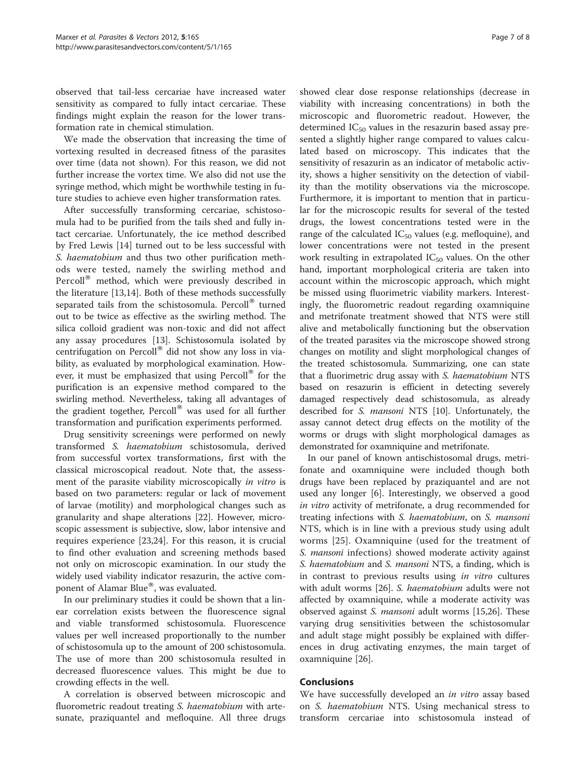observed that tail-less cercariae have increased water sensitivity as compared to fully intact cercariae. These findings might explain the reason for the lower transformation rate in chemical stimulation.

We made the observation that increasing the time of vortexing resulted in decreased fitness of the parasites over time (data not shown). For this reason, we did not further increase the vortex time. We also did not use the syringe method, which might be worthwhile testing in future studies to achieve even higher transformation rates.

After successfully transforming cercariae, schistosomula had to be purified from the tails shed and fully intact cercariae. Unfortunately, the ice method described by Fred Lewis [\[14](#page-7-0)] turned out to be less successful with S. haematobium and thus two other purification methods were tested, namely the swirling method and Percoll® method, which were previously described in the literature [\[13,14](#page-7-0)]. Both of these methods successfully separated tails from the schistosomula. Percoll<sup>®</sup> turned out to be twice as effective as the swirling method. The silica colloid gradient was non-toxic and did not affect any assay procedures [[13\]](#page-7-0). Schistosomula isolated by centrifugation on Percoll<sup>®</sup> did not show any loss in viability, as evaluated by morphological examination. However, it must be emphasized that using  $Percoll^{\circledR}$  for the purification is an expensive method compared to the swirling method. Nevertheless, taking all advantages of the gradient together, Percoll® was used for all further transformation and purification experiments performed.

Drug sensitivity screenings were performed on newly transformed S. haematobium schistosomula, derived from successful vortex transformations, first with the classical microscopical readout. Note that, the assessment of the parasite viability microscopically in vitro is based on two parameters: regular or lack of movement of larvae (motility) and morphological changes such as granularity and shape alterations [[22](#page-7-0)]. However, microscopic assessment is subjective, slow, labor intensive and requires experience [[23,24\]](#page-7-0). For this reason, it is crucial to find other evaluation and screening methods based not only on microscopic examination. In our study the widely used viability indicator resazurin, the active component of Alamar Blue®, was evaluated.

In our preliminary studies it could be shown that a linear correlation exists between the fluorescence signal and viable transformed schistosomula. Fluorescence values per well increased proportionally to the number of schistosomula up to the amount of 200 schistosomula. The use of more than 200 schistosomula resulted in decreased fluorescence values. This might be due to crowding effects in the well.

A correlation is observed between microscopic and fluorometric readout treating *S. haematobium* with artesunate, praziquantel and mefloquine. All three drugs

showed clear dose response relationships (decrease in viability with increasing concentrations) in both the microscopic and fluorometric readout. However, the determined  $IC_{50}$  values in the resazurin based assay presented a slightly higher range compared to values calculated based on microscopy. This indicates that the sensitivity of resazurin as an indicator of metabolic activity, shows a higher sensitivity on the detection of viability than the motility observations via the microscope. Furthermore, it is important to mention that in particular for the microscopic results for several of the tested drugs, the lowest concentrations tested were in the range of the calculated  $IC_{50}$  values (e.g. mefloquine), and lower concentrations were not tested in the present work resulting in extrapolated  $IC_{50}$  values. On the other hand, important morphological criteria are taken into account within the microscopic approach, which might be missed using fluorimetric viability markers. Interestingly, the fluorometric readout regarding oxamniquine and metrifonate treatment showed that NTS were still alive and metabolically functioning but the observation of the treated parasites via the microscope showed strong changes on motility and slight morphological changes of the treated schistosomula. Summarizing, one can state that a fluorimetric drug assay with S. haematobium NTS based on resazurin is efficient in detecting severely damaged respectively dead schistosomula, as already described for S. mansoni NTS [[10](#page-7-0)]. Unfortunately, the assay cannot detect drug effects on the motility of the worms or drugs with slight morphological damages as demonstrated for oxamniquine and metrifonate.

In our panel of known antischistosomal drugs, metrifonate and oxamniquine were included though both drugs have been replaced by praziquantel and are not used any longer [\[6](#page-7-0)]. Interestingly, we observed a good in vitro activity of metrifonate, a drug recommended for treating infections with S. haematobium, on S. mansoni NTS, which is in line with a previous study using adult worms [[25](#page-7-0)]. Oxamniquine (used for the treatment of S. *mansoni* infections) showed moderate activity against S. haematobium and S. mansoni NTS, a finding, which is in contrast to previous results using in vitro cultures with adult worms [[26](#page-7-0)]. S. haematobium adults were not affected by oxamniquine, while a moderate activity was observed against S. mansoni adult worms [[15](#page-7-0),[26](#page-7-0)]. These varying drug sensitivities between the schistosomular and adult stage might possibly be explained with differences in drug activating enzymes, the main target of oxamniquine [\[26\]](#page-7-0).

### Conclusions

We have successfully developed an *in vitro* assay based on S. haematobium NTS. Using mechanical stress to transform cercariae into schistosomula instead of